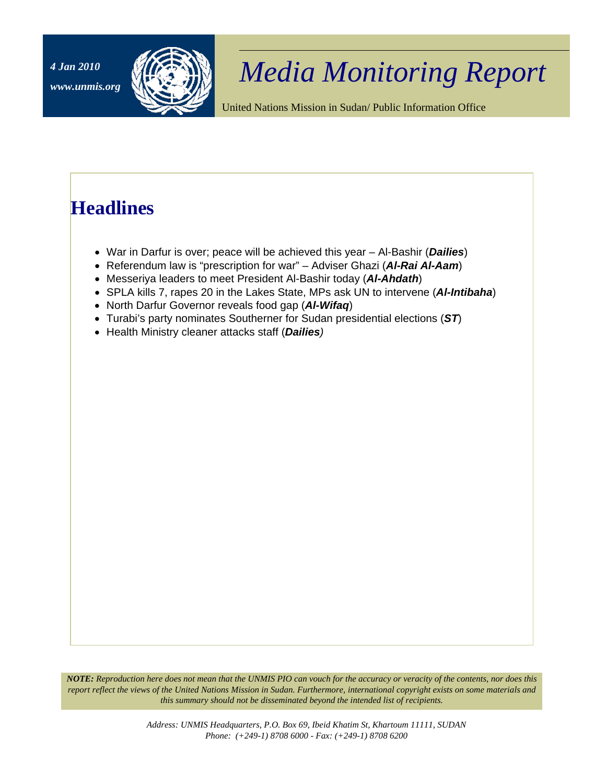

## *Media Monitoring Report 4 Jan 2010*

United Nations Mission in Sudan/ Public Information Office

### **Headlines**

- War in Darfur is over; peace will be achieved this year Al-Bashir (*Dailies*)
- Referendum law is "prescription for war" Adviser Ghazi (*Al-Rai Al-Aam*)
- Messeriya leaders to meet President Al-Bashir today (*Al-Ahdath*)
- SPLA kills 7, rapes 20 in the Lakes State, MPs ask UN to intervene (*Al-Intibaha*)
- North Darfur Governor reveals food gap (*Al-Wifaq*)
- Turabi's party nominates Southerner for Sudan presidential elections (*ST*)
- Health Ministry cleaner attacks staff (*Dailies)*

*NOTE: Reproduction here does not mean that the UNMIS PIO can vouch for the accuracy or veracity of the contents, nor does this report reflect the views of the United Nations Mission in Sudan. Furthermore, international copyright exists on some materials and this summary should not be disseminated beyond the intended list of recipients.*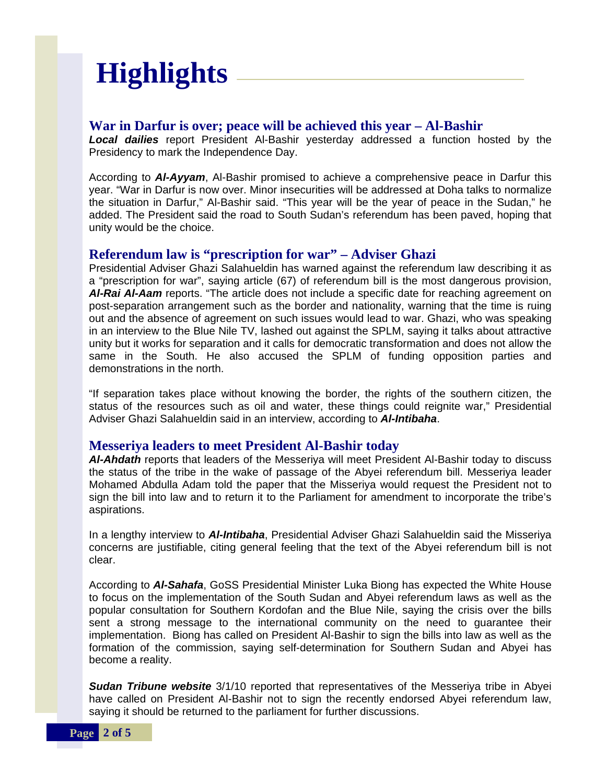# **Highlights**

#### **War in Darfur is over; peace will be achieved this year – Al-Bashir**

*Local dailies* report President Al-Bashir yesterday addressed a function hosted by the Presidency to mark the Independence Day.

According to *Al-Ayyam*, Al-Bashir promised to achieve a comprehensive peace in Darfur this year. "War in Darfur is now over. Minor insecurities will be addressed at Doha talks to normalize the situation in Darfur," Al-Bashir said. "This year will be the year of peace in the Sudan," he added. The President said the road to South Sudan's referendum has been paved, hoping that unity would be the choice.

#### **Referendum law is "prescription for war" – Adviser Ghazi**

Presidential Adviser Ghazi Salahueldin has warned against the referendum law describing it as a "prescription for war", saying article (67) of referendum bill is the most dangerous provision, *Al-Rai Al-Aam* reports. "The article does not include a specific date for reaching agreement on post-separation arrangement such as the border and nationality, warning that the time is ruing out and the absence of agreement on such issues would lead to war. Ghazi, who was speaking in an interview to the Blue Nile TV, lashed out against the SPLM, saying it talks about attractive unity but it works for separation and it calls for democratic transformation and does not allow the same in the South. He also accused the SPLM of funding opposition parties and demonstrations in the north.

"If separation takes place without knowing the border, the rights of the southern citizen, the status of the resources such as oil and water, these things could reignite war," Presidential Adviser Ghazi Salahueldin said in an interview, according to *Al-Intibaha*.

#### **Messeriya leaders to meet President Al-Bashir today**

*Al-Ahdath* reports that leaders of the Messeriya will meet President Al-Bashir today to discuss the status of the tribe in the wake of passage of the Abyei referendum bill. Messeriya leader Mohamed Abdulla Adam told the paper that the Misseriya would request the President not to sign the bill into law and to return it to the Parliament for amendment to incorporate the tribe's aspirations.

In a lengthy interview to *Al-Intibaha*, Presidential Adviser Ghazi Salahueldin said the Misseriya concerns are justifiable, citing general feeling that the text of the Abyei referendum bill is not clear.

According to *Al-Sahafa*, GoSS Presidential Minister Luka Biong has expected the White House to focus on the implementation of the South Sudan and Abyei referendum laws as well as the popular consultation for Southern Kordofan and the Blue Nile, saying the crisis over the bills sent a strong message to the international community on the need to guarantee their implementation. Biong has called on President Al-Bashir to sign the bills into law as well as the formation of the commission, saying self-determination for Southern Sudan and Abyei has become a reality.

**Sudan Tribune website** 3/1/10 reported that representatives of the Messeriya tribe in Abyei have called on President Al-Bashir not to sign the recently endorsed Abyei referendum law, saying it should be returned to the parliament for further discussions.

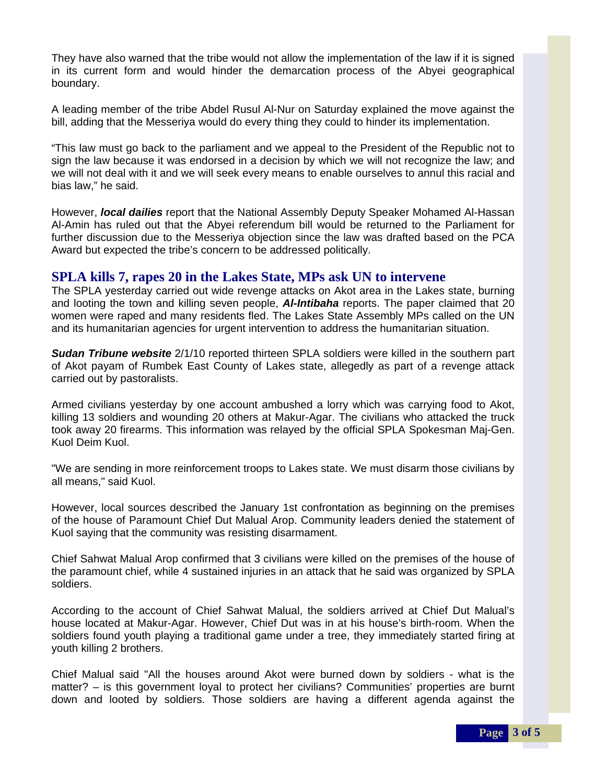They have also warned that the tribe would not allow the implementation of the law if it is signed in its current form and would hinder the demarcation process of the Abyei geographical boundary.

A leading member of the tribe Abdel Rusul Al-Nur on Saturday explained the move against the bill, adding that the Messeriya would do every thing they could to hinder its implementation.

"This law must go back to the parliament and we appeal to the President of the Republic not to sign the law because it was endorsed in a decision by which we will not recognize the law; and we will not deal with it and we will seek every means to enable ourselves to annul this racial and bias law," he said.

However, *local dailies* report that the National Assembly Deputy Speaker Mohamed Al-Hassan Al-Amin has ruled out that the Abyei referendum bill would be returned to the Parliament for further discussion due to the Messeriya objection since the law was drafted based on the PCA Award but expected the tribe's concern to be addressed politically.

#### **SPLA kills 7, rapes 20 in the Lakes State, MPs ask UN to intervene**

The SPLA yesterday carried out wide revenge attacks on Akot area in the Lakes state, burning and looting the town and killing seven people, *Al-Intibaha* reports. The paper claimed that 20 women were raped and many residents fled. The Lakes State Assembly MPs called on the UN and its humanitarian agencies for urgent intervention to address the humanitarian situation.

*Sudan Tribune website* 2/1/10 reported thirteen SPLA soldiers were killed in the southern part of Akot payam of Rumbek East County of Lakes state, allegedly as part of a revenge attack carried out by pastoralists.

Armed civilians yesterday by one account ambushed a lorry which was carrying food to Akot, killing 13 soldiers and wounding 20 others at Makur-Agar. The civilians who attacked the truck took away 20 firearms. This information was relayed by the official SPLA Spokesman Maj-Gen. Kuol Deim Kuol.

"We are sending in more reinforcement troops to Lakes state. We must disarm those civilians by all means," said Kuol.

However, local sources described the January 1st confrontation as beginning on the premises of the house of Paramount Chief Dut Malual Arop. Community leaders denied the statement of Kuol saying that the community was resisting disarmament.

Chief Sahwat Malual Arop confirmed that 3 civilians were killed on the premises of the house of the paramount chief, while 4 sustained injuries in an attack that he said was organized by SPLA soldiers.

According to the account of Chief Sahwat Malual, the soldiers arrived at Chief Dut Malual's house located at Makur-Agar. However, Chief Dut was in at his house's birth-room. When the soldiers found youth playing a traditional game under a tree, they immediately started firing at youth killing 2 brothers.

Chief Malual said "All the houses around Akot were burned down by soldiers - what is the matter? – is this government loyal to protect her civilians? Communities' properties are burnt down and looted by soldiers. Those soldiers are having a different agenda against the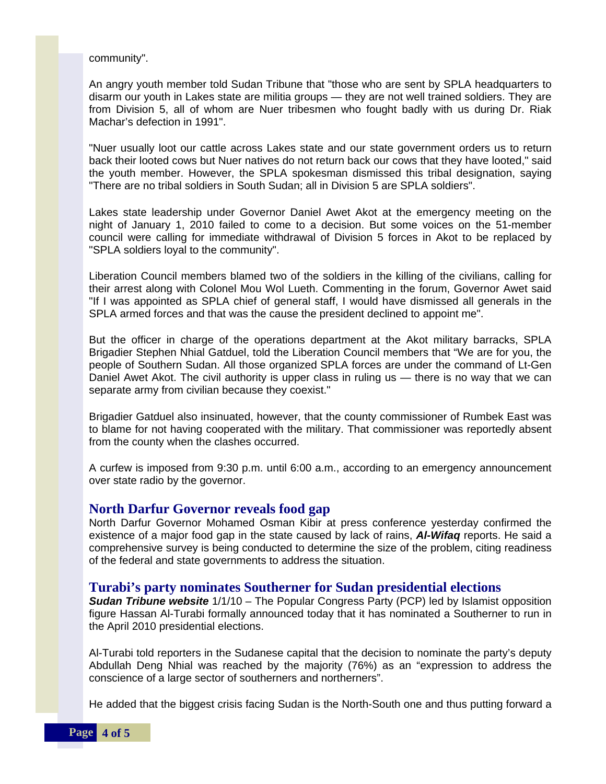community".

An angry youth member told Sudan Tribune that "those who are sent by SPLA headquarters to disarm our youth in Lakes state are militia groups — they are not well trained soldiers. They are from Division 5, all of whom are Nuer tribesmen who fought badly with us during Dr. Riak Machar's defection in 1991".

"Nuer usually loot our cattle across Lakes state and our state government orders us to return back their looted cows but Nuer natives do not return back our cows that they have looted," said the youth member. However, the SPLA spokesman dismissed this tribal designation, saying "There are no tribal soldiers in South Sudan; all in Division 5 are SPLA soldiers".

Lakes state leadership under Governor Daniel Awet Akot at the emergency meeting on the night of January 1, 2010 failed to come to a decision. But some voices on the 51-member council were calling for immediate withdrawal of Division 5 forces in Akot to be replaced by "SPLA soldiers loyal to the community".

Liberation Council members blamed two of the soldiers in the killing of the civilians, calling for their arrest along with Colonel Mou Wol Lueth. Commenting in the forum, Governor Awet said "If I was appointed as SPLA chief of general staff, I would have dismissed all generals in the SPLA armed forces and that was the cause the president declined to appoint me".

But the officer in charge of the operations department at the Akot military barracks, SPLA Brigadier Stephen Nhial Gatduel, told the Liberation Council members that "We are for you, the people of Southern Sudan. All those organized SPLA forces are under the command of Lt-Gen Daniel Awet Akot. The civil authority is upper class in ruling us — there is no way that we can separate army from civilian because they coexist."

Brigadier Gatduel also insinuated, however, that the county commissioner of Rumbek East was to blame for not having cooperated with the military. That commissioner was reportedly absent from the county when the clashes occurred.

A curfew is imposed from 9:30 p.m. until 6:00 a.m., according to an emergency announcement over state radio by the governor.

#### **North Darfur Governor reveals food gap**

North Darfur Governor Mohamed Osman Kibir at press conference yesterday confirmed the existence of a major food gap in the state caused by lack of rains, *Al-Wifaq* reports. He said a comprehensive survey is being conducted to determine the size of the problem, citing readiness of the federal and state governments to address the situation.

#### **Turabi's party nominates Southerner for Sudan presidential elections**

**Sudan Tribune website** 1/1/10 – The Popular Congress Party (PCP) led by Islamist opposition figure Hassan Al-Turabi formally announced today that it has nominated a Southerner to run in the April 2010 presidential elections.

Al-Turabi told reporters in the Sudanese capital that the decision to nominate the party's deputy Abdullah Deng Nhial was reached by the majority (76%) as an "expression to address the conscience of a large sector of southerners and northerners".

He added that the biggest crisis facing Sudan is the North-South one and thus putting forward a